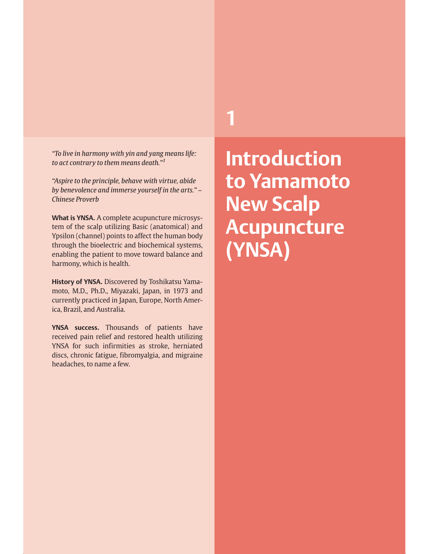# 1

"To live in harmony with yin and yang means life: to act contrary to them means death."<sup>1</sup>

"Aspire to the principle, behave with virtue, abide by benevolence and immerse yourself in the arts." – Chinese Proverb

What is YNSA. A complete acupuncture microsystem of the scalp utilizing Basic (anatomical) and Ypsilon (channel) points to affect the human body through the bioelectric and biochemical systems, enabling the patient to move toward balance and harmony, which is health.

History of YNSA. Discovered by Toshikatsu Yamamoto, M.D., Ph.D., Miyazaki, Japan, in 1973 and currently practiced in Japan, Europe, North America, Brazil, and Australia.

YNSA success. Thousands of patients have received pain relief and restored health utilizing YNSA for such infirmities as stroke, herniated discs, chronic fatigue, fibromyalgia, and migraine headaches, to name a few.

Introduction to Yamamoto New Scalp Acupuncture (YNSA)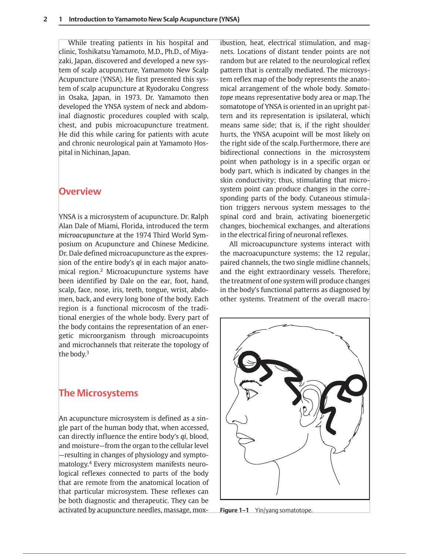While treating patients in his hospital and clinic, Toshikatsu Yamamoto, M.D., Ph.D., of Miyazaki, Japan, discovered and developed a new system of scalp acupuncture, Yamamoto New Scalp Acupuncture (YNSA). He first presented this system of scalp acupuncture at Ryodoraku Congress in Osaka, Japan, in 1973. Dr. Yamamoto then developed the YNSA system of neck and abdominal diagnostic procedures coupled with scalp, chest, and pubis microacupuncture treatment. He did this while caring for patients with acute and chronic neurological pain at Yamamoto Hospital in Nichinan, Japan.

#### **Overview**

YNSA is a microsystem of acupuncture. Dr. Ralph Alan Dale of Miami, Florida, introduced the term microacupuncture at the 1974 Third World Symposium on Acupuncture and Chinese Medicine. Dr. Dale defined microacupuncture as the expression of the entire body's qi in each major anatomical region.<sup>2</sup> Microacupuncture systems have been identified by Dale on the ear, foot, hand, scalp, face, nose, iris, teeth, tongue, wrist, abdomen, back, and every long bone of the body. Each region is a functional microcosm of the traditional energies of the whole body. Every part of the body contains the representation of an energetic microorganism through microacupoints and microchannels that reiterate the topology of the body.3

### The Microsystems

An acupuncture microsystem is defined as a single part of the human body that, when accessed, can directly influence the entire body's qi, blood, and moisture—from the organ to the cellular level —resulting in changes of physiology and symptomatology.4 Every microsystem manifests neurological reflexes connected to parts of the body that are remote from the anatomical location of that particular microsystem. These reflexes can be both diagnostic and therapeutic. They can be activated by acupuncture needles, massage, moxibustion, heat, electrical stimulation, and magnets. Locations of distant tender points are not random but are related to the neurological reflex pattern that is centrally mediated. The microsystem reflex map of the body represents the anatomical arrangement of the whole body. Somatotope means representative body area or map. The somatotope of YNSA is oriented in an upright pattern and its representation is ipsilateral, which means same side; that is, if the right shoulder hurts, the YNSA acupoint will be most likely on the right side of the scalp. Furthermore, there are bidirectional connections in the microsystem point when pathology is in a specific organ or body part, which is indicated by changes in the skin conductivity; thus, stimulating that microsystem point can produce changes in the corresponding parts of the body. Cutaneous stimulation triggers nervous system messages to the spinal cord and brain, activating bioenergetic changes, biochemical exchanges, and alterations in the electrical firing of neuronal reflexes.

All microacupuncture systems interact with the macroacupuncture systems; the 12 regular, paired channels, the two single midline channels, and the eight extraordinary vessels. Therefore, the treatment of one system will produce changes in the body's functional patterns as diagnosed by other systems. Treatment of the overall macro-



Figure 1-1 Yin/yang somatotope.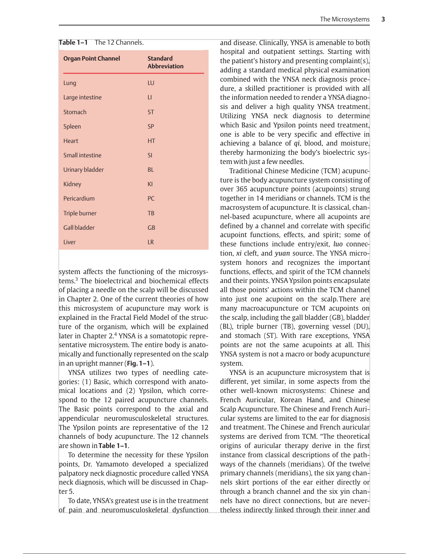#### Table 1–1 The 12 Channels.

| <b>Organ Point Channel</b> | <b>Standard</b><br><b>Abbreviation</b> |
|----------------------------|----------------------------------------|
| Lung                       | LU                                     |
| Large intestine            | $\mathsf{L}$                           |
| Stomach                    | <b>ST</b>                              |
| Spleen                     | <b>SP</b>                              |
| <b>Heart</b>               | <b>HT</b>                              |
| <b>Small intestine</b>     | $\overline{\mathsf{S}}$                |
| Urinary bladder            | BI                                     |
| Kidney                     | KI                                     |
| Pericardium                | PC                                     |
| Triple burner              | <b>TB</b>                              |
| Gall bladder               | GB                                     |
| Liver                      | <b>LR</b>                              |

system affects the functioning of the microsystems.3 The bioelectrical and biochemical effects of placing a needle on the scalp will be discussed in Chapter 2. One of the current theories of how this microsystem of acupuncture may work is explained in the Fractal Field Model of the structure of the organism, which will be explained later in Chapter 2.<sup>4</sup> YNSA is a somatotopic representative microsystem. The entire body is anatomically and functionally represented on the scalp in an upright manner (Fig. 1–1).

YNSA utilizes two types of needling categories: (1) Basic, which correspond with anatomical locations and (2) Ypsilon, which correspond to the 12 paired acupuncture channels. The Basic points correspond to the axial and appendicular neuromusculoskeletal structures. The Ypsilon points are representative of the 12 channels of body acupuncture. The 12 channels are shown inTable 1–1.

To determine the necessity for these Ypsilon points, Dr. Yamamoto developed a specialized palpatory neck diagnostic procedure called YNSA neck diagnosis, which will be discussed in Chapter 5.

To date, YNSA's greatest use is in the treatment of pain and neuromusculoskeletal dysfunction and disease. Clinically, YNSA is amenable to both hospital and outpatient settings. Starting with the patient's history and presenting complaint(s), adding a standard medical physical examination combined with the YNSA neck diagnosis procedure, a skilled practitioner is provided with all the information needed to render a YNSA diagnosis and deliver a high quality YNSA treatment. Utilizing YNSA neck diagnosis to determine which Basic and Ypsilon points need treatment, one is able to be very specific and effective in achieving a balance of qi, blood, and moisture, thereby harmonizing the body's bioelectric system with just a few needles.

Traditional Chinese Medicine (TCM) acupuncture is the body acupuncture system consisting of over 365 acupuncture points (acupoints) strung together in 14 meridians or channels. TCM is the macrosystem of acupuncture. It is classical, channel-based acupuncture, where all acupoints are defined by a channel and correlate with specific acupoint functions, effects, and spirit; some of these functions include entry/exit, luo connection, xi cleft, and yuan source. The YNSA microsystem honors and recognizes the important functions, effects, and spirit of the TCM channels and their points. YNSA Ypsilon points encapsulate all those points' actions within the TCM channel into just one acupoint on the scalp. There are many macroacupuncture or TCM acupoints on the scalp, including the gall bladder (GB), bladder (BL), triple burner (TB), governing vessel (DU), and stomach (ST). With rare exceptions, YNSA points are not the same acupoints at all. This YNSA system is not a macro or body acupuncture system.

YNSA is an acupuncture microsystem that is different, yet similar, in some aspects from the other well-known microsystems: Chinese and French Auricular, Korean Hand, and Chinese Scalp Acupuncture. The Chinese and French Auricular systems are limited to the ear for diagnosis and treatment. The Chinese and French auricular systems are derived from TCM. "The theoretical origins of auricular therapy derive in the first instance from classical descriptions of the pathways of the channels (meridians). Of the twelve primary channels (meridians), the six yang channels skirt portions of the ear either directly or through a branch channel and the six yin channels have no direct connections, but are nevertheless indirectly linked through their inner and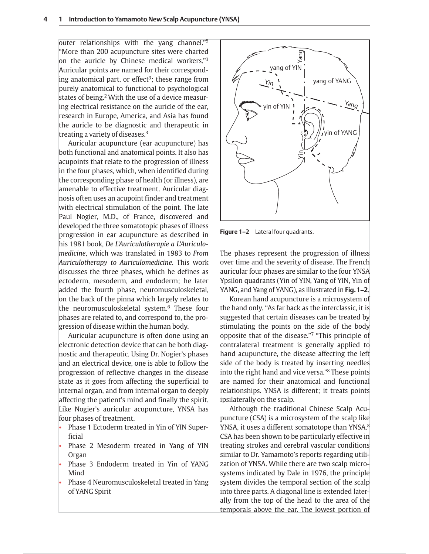outer relationships with the yang channel."<sup>5</sup> "More than 200 acupuncture sites were charted on the auricle by Chinese medical workers."<sup>3</sup> Auricular points are named for their corresponding anatomical part, or effect<sup>3</sup>; these range from purely anatomical to functional to psychological states of being.2 With the use of a device measuring electrical resistance on the auricle of the ear, research in Europe, America, and Asia has found the auricle to be diagnostic and therapeutic in treating a variety of diseases.3

Auricular acupuncture (ear acupuncture) has both functional and anatomical points. It also has acupoints that relate to the progression of illness in the four phases, which, when identified during the corresponding phase of health (or illness), are amenable to effective treatment. Auricular diagnosis often uses an acupoint finder and treatment with electrical stimulation of the point. The late Paul Nogier, M.D., of France, discovered and developed the three somatotopic phases of illness progression in ear acupuncture as described in his 1981 book, De L'Auriculotherapie a L'Auriculomedicine, which was translated in 1983 to From Auriculotherapy to Auriculomedicine. This work discusses the three phases, which he defines as ectoderm, mesoderm, and endoderm; he later added the fourth phase, neuromusculoskeletal, on the back of the pinna which largely relates to the neuromusculoskeletal system.<sup>6</sup> These four phases are related to, and correspond to, the progression of disease within the human body.

Auricular acupuncture is often done using an electronic detection device that can be both diagnostic and therapeutic. Using Dr. Nogier's phases and an electrical device, one is able to follow the progression of reflective changes in the disease state as it goes from affecting the superficial to internal organ, and from internal organ to deeply affecting the patient's mind and finally the spirit. Like Nogier's auricular acupuncture, YNSA has four phases of treatment.

- Phase 1 Ectoderm treated in Yin of YIN Superficial
- Phase 2 Mesoderm treated in Yang of YIN Organ
- Phase 3 Endoderm treated in Yin of YANG Mind
- Phase 4 Neuromusculoskeletal treated in Yang of YANG Spirit



Figure 1-2 Lateral four quadrants.

The phases represent the progression of illness over time and the severity of disease. The French auricular four phases are similar to the four YNSA Ypsilon quadrants (Yin of YIN, Yang of YIN, Yin of YANG, and Yang of YANG), as illustrated in **Fig. 1–2.** 

Korean hand acupuncture is a microsystem of the hand only. "As far back as the interclassic, it is suggested that certain diseases can be treated by stimulating the points on the side of the body opposite that of the disease."<sup>7</sup> "This principle of contralateral treatment is generally applied to hand acupuncture, the disease affecting the left side of the body is treated by inserting needles into the right hand and vice versa."<sup>8</sup> These points are named for their anatomical and functional relationships. YNSA is different; it treats points ipsilaterally on the scalp.

Although the traditional Chinese Scalp Acupuncture (CSA) is a microsystem of the scalp like YNSA, it uses a different somatotope than YNSA.<sup>8</sup> CSA has been shown to be particularly effective in treating strokes and cerebral vascular conditions similar to Dr. Yamamoto's reports regarding utilization of YNSA. While there are two scalp microsystems indicated by Dale in 1976, the principle system divides the temporal section of the scalp into three parts. A diagonal line is extended laterally from the top of the head to the area of the temporals above the ear. The lowest portion of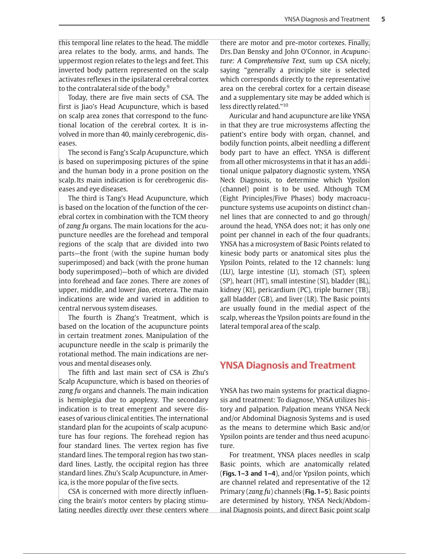this temporal line relates to the head. The middle area relates to the body, arms, and hands. The uppermost region relates to the legs and feet. This inverted body pattern represented on the scalp activates reflexes in the ipsilateral cerebral cortex to the contralateral side of the body.9

Today, there are five main sects of CSA. The first is Jiao's Head Acupuncture, which is based on scalp area zones that correspond to the functional location of the cerebral cortex. It is involved in more than 40, mainly cerebrogenic, diseases.

The second is Fang's Scalp Acupuncture, which is based on superimposing pictures of the spine and the human body in a prone position on the scalp. Its main indication is for cerebrogenic diseases and eye diseases.

The third is Tang's Head Acupuncture, which is based on the location of the function of the cerebral cortex in combination with the TCM theory of zang fu organs. The main locations for the acupuncture needles are the forehead and temporal regions of the scalp that are divided into two parts—the front (with the supine human body superimposed) and back (with the prone human body superimposed)—both of which are divided into forehead and face zones. There are zones of upper, middle, and lower jiao, etcetera. The main indications are wide and varied in addition to central nervous system diseases.

The fourth is Zhang's Treatment, which is based on the location of the acupuncture points in certain treatment zones. Manipulation of the acupuncture needle in the scalp is primarily the rotational method. The main indications are nervous and mental diseases only.

The fifth and last main sect of CSA is Zhu's Scalp Acupuncture, which is based on theories of zang fu organs and channels. The main indication is hemiplegia due to apoplexy. The secondary indication is to treat emergent and severe diseases of various clinical entities. The international standard plan for the acupoints of scalp acupuncture has four regions. The forehead region has four standard lines. The vertex region has five standard lines. The temporal region has two standard lines. Lastly, the occipital region has three standard lines. Zhu's Scalp Acupuncture, in America, is the more popular of the five sects.

CSA is concerned with more directly influencing the brain's motor centers by placing stimulating needles directly over these centers where there are motor and pre-motor cortexes. Finally, Drs. Dan Bensky and John O'Connor, in Acupuncture: A Comprehensive Text, sum up CSA nicely, saying "generally a principle site is selected which corresponds directly to the representative area on the cerebral cortex for a certain disease and a supplementary site may be added which is less directly related."<sup>10</sup>

Auricular and hand acupuncture are like YNSA in that they are true microsystems affecting the patient's entire body with organ, channel, and bodily function points, albeit needling a different body part to have an effect. YNSA is different from all other microsystems in that it has an additional unique palpatory diagnostic system, YNSA Neck Diagnosis, to determine which Ypsilon (channel) point is to be used. Although TCM (Eight Principles/Five Phases) body macroacupuncture systems use acupoints on distinct channel lines that are connected to and go through/ around the head, YNSA does not; it has only one point per channel in each of the four quadrants. YNSA has a microsystem of Basic Points related to kinesic body parts or anatomical sites plus the Ypsilon Points, related to the 12 channels: lung (LU), large intestine (LI), stomach (ST), spleen (SP), heart (HT), small intestine (SI), bladder (BL), kidney (KI), pericardium (PC), triple burner (TB), gall bladder (GB), and liver (LR). The Basic points are usually found in the medial aspect of the scalp, whereas the Ypsilon points are found in the lateral temporal area of the scalp.

# YNSA Diagnosis and Treatment

YNSA has two main systems for practical diagnosis and treatment: To diagnose, YNSA utilizes history and palpation. Palpation means YNSA Neck and/or Abdominal Diagnosis Systems and is used as the means to determine which Basic and/or Ypsilon points are tender and thus need acupuncture.

For treatment, YNSA places needles in scalp Basic points, which are anatomically related (Figs. 1–3 and 1–4), and/or Ypsilon points, which are channel related and representative of the 12 Primary (*zang fu*) channels (**Fig. 1–5**). Basic points are determined by history, YNSA Neck/Abdominal Diagnosis points, and direct Basic point scalp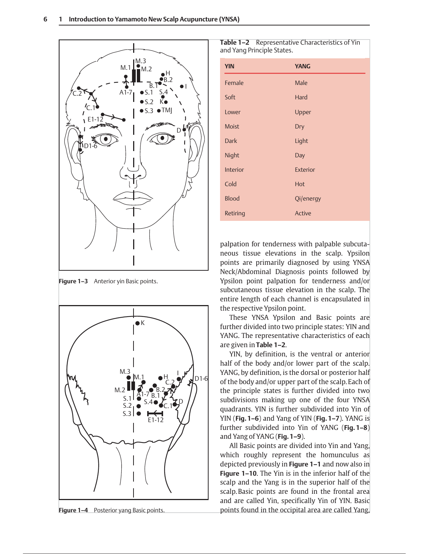

Figure 1-3 Anterior yin Basic points.



Figure 1-4 Posterior yang Basic points.

Table 1-2 Representative Characteristics of Yin and Yang Principle States.

| <b>YIN</b>   | <b>YANG</b> |
|--------------|-------------|
| Female       | Male        |
| Soft         | Hard        |
| Lower        | Upper       |
| <b>Moist</b> | Dry         |
| <b>Dark</b>  | Light       |
| Night        | Day         |
| Interior     | Exterior    |
| Cold         | <b>Hot</b>  |
| <b>Blood</b> | Qi/energy   |
| Retiring     | Active      |

palpation for tenderness with palpable subcutaneous tissue elevations in the scalp. Ypsilon points are primarily diagnosed by using YNSA Neck/Abdominal Diagnosis points followed by Ypsilon point palpation for tenderness and/or subcutaneous tissue elevation in the scalp. The entire length of each channel is encapsulated in the respective Ypsilon point.

These YNSA Ypsilon and Basic points are further divided into two principle states: YIN and YANG. The representative characteristics of each are given inTable 1–2.

YIN, by definition, is the ventral or anterior half of the body and/or lower part of the scalp. YANG, by definition, is the dorsal or posterior half of the body and/or upper part of the scalp. Each of the principle states is further divided into two subdivisions making up one of the four YNSA quadrants. YIN is further subdivided into Yin of YIN (Fig. 1–6) and Yang of YIN (Fig. 1–7). YANG is further subdivided into Yin of YANG (Fig. 1-8) and Yang of YANG (Fig. 1–9).

All Basic points are divided into Yin and Yang, which roughly represent the homunculus as depicted previously in Figure 1–1 and now also in Figure 1-10. The Yin is in the inferior half of the scalp and the Yang is in the superior half of the scalp. Basic points are found in the frontal area and are called Yin, specifically Yin of YIN. Basic points found in the occipital area are called Yang,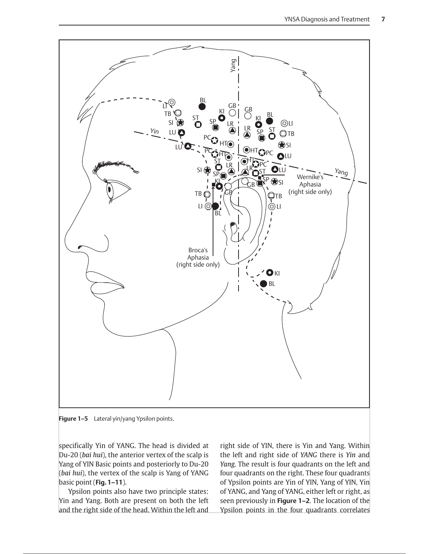

Figure 1-5 Lateral yin/yang Ypsilon points.

specifically Yin of YANG. The head is divided at Du-20 (bai hui), the anterior vertex of the scalp is Yang of YIN Basic points and posteriorly to Du-20 (bai hui), the vertex of the scalp is Yang of YANG basic point (Fig. 1-11).

Ypsilon points also have two principle states: Yin and Yang. Both are present on both the left and the right side of the head. Within the left and

right side of YIN, there is Yin and Yang. Within the left and right side of YANG there is Yin and Yang. The result is four quadrants on the left and four quadrants on the right. These four quadrants of Ypsilon points are Yin of YIN, Yang of YIN, Yin of YANG, and Yang of YANG, either left or right, as seen previously in Figure 1-2. The location of the Ypsilon points in the four quadrants correlates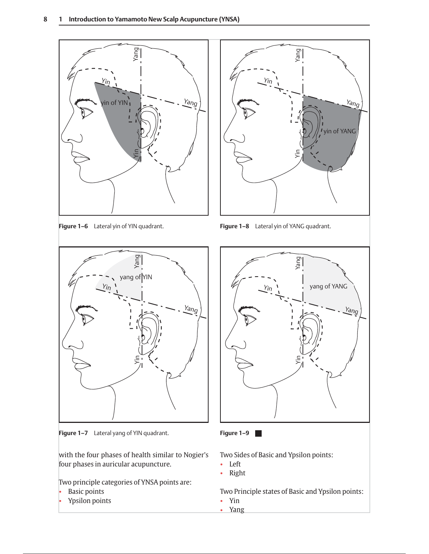

Figure 1-6 Lateral yin of YIN quadrant.



Figure 1-8 Lateral yin of YANG quadrant.



Figure 1-7 Lateral yang of YIN quadrant.

with the four phases of health similar to Nogier's four phases in auricular acupuncture.

Two principle categories of YNSA points are:

- **Basic points**
- Ypsilon points





Two Sides of Basic and Ypsilon points:

- Left
- Right

Two Principle states of Basic and Ypsilon points:

- Yin
- Yang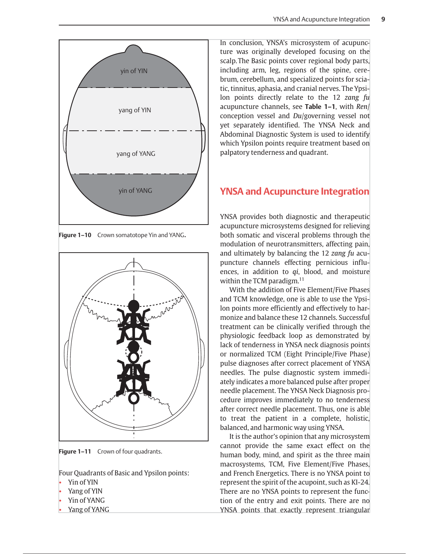

Figure 1–10 Crown somatotope Yin and YANG.



Figure 1-11 Crown of four quadrants.

Four Quadrants of Basic and Ypsilon points:

- Yin of YIN
- Yang of YIN
- Yin of YANG
- Yang of YANG

In conclusion, YNSA's microsystem of acupuncture was originally developed focusing on the scalp. The Basic points cover regional body parts, including arm, leg, regions of the spine, cerebrum, cerebellum, and specialized points for sciatic, tinnitus, aphasia, and cranial nerves. The Ypsilon points directly relate to the 12 zang fu acupuncture channels, see Table 1–1, with  $Ren/$ conception vessel and Du/governing vessel not yet separately identified. The YNSA Neck and Abdominal Diagnostic System is used to identify which Ypsilon points require treatment based on palpatory tenderness and quadrant.

### YNSA and Acupuncture Integration

YNSA provides both diagnostic and therapeutic acupuncture microsystems designed for relieving both somatic and visceral problems through the modulation of neurotransmitters, affecting pain, and ultimately by balancing the 12 zang fu acupuncture channels effecting pernicious influences, in addition to  $qi$ , blood, and moisture within the TCM paradigm.<sup>11</sup>

With the addition of Five Element/Five Phases and TCM knowledge, one is able to use the Ypsilon points more efficiently and effectively to harmonize and balance these 12 channels. Successful treatment can be clinically verified through the physiologic feedback loop as demonstrated by lack of tenderness in YNSA neck diagnosis points or normalized TCM (Eight Principle/Five Phase) pulse diagnoses after correct placement of YNSA needles. The pulse diagnostic system immediately indicates a more balanced pulse after proper needle placement. The YNSA Neck Diagnosis procedure improves immediately to no tenderness after correct needle placement. Thus, one is able to treat the patient in a complete, holistic, balanced, and harmonic way using YNSA.

It is the author's opinion that any microsystem cannot provide the same exact effect on the human body, mind, and spirit as the three main macrosystems, TCM, Five Element/Five Phases, and French Energetics. There is no YNSA point to represent the spirit of the acupoint, such as KI-24. There are no YNSA points to represent the function of the entry and exit points. There are no YNSA points that exactly represent triangular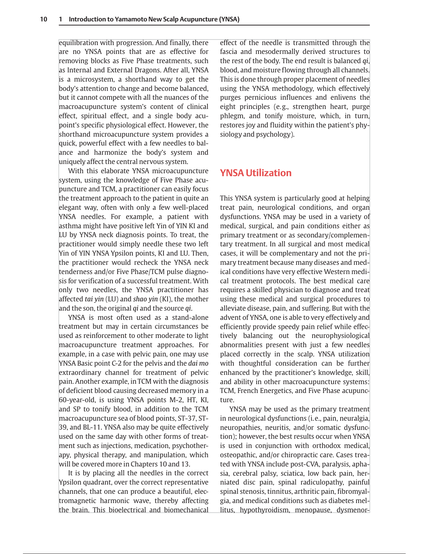equilibration with progression. And finally, there are no YNSA points that are as effective for removing blocks as Five Phase treatments, such as Internal and External Dragons. After all, YNSA is a microsystem, a shorthand way to get the body's attention to change and become balanced, but it cannot compete with all the nuances of the macroacupuncture system's content of clinical effect, spiritual effect, and a single body acupoint's specific physiological effect. However, the shorthand microacupuncture system provides a quick, powerful effect with a few needles to balance and harmonize the body's system and uniquely affect the central nervous system.

With this elaborate YNSA microacupuncture system, using the knowledge of Five Phase acupuncture and TCM, a practitioner can easily focus the treatment approach to the patient in quite an elegant way, often with only a few well-placed YNSA needles. For example, a patient with asthma might have positive left Yin of YIN KI and LU by YNSA neck diagnosis points. To treat, the practitioner would simply needle these two left Yin of YIN YNSA Ypsilon points, KI and LU. Then, the practitioner would recheck the YNSA neck tenderness and/or Five Phase/TCM pulse diagnosis for verification of a successful treatment. With only two needles, the YNSA practitioner has affected tai yin (LU) and shao yin (KI), the mother and the son, the original *qi* and the source *qi*.

YNSA is most often used as a stand-alone treatment but may in certain circumstances be used as reinforcement to other moderate to light macroacupuncture treatment approaches. For example, in a case with pelvic pain, one may use YNSA Basic point C-2 for the pelvis and the *dai mo* extraordinary channel for treatment of pelvic pain. Another example, in TCM with the diagnosis of deficient blood causing decreased memory in a 60-year-old, is using YNSA points M-2, HT, KI, and SP to tonify blood, in addition to the TCM macroacupuncture sea of blood points, ST-37, ST-39, and BL-11. YNSA also may be quite effectively used on the same day with other forms of treatment such as injections, medication, psychotherapy, physical therapy, and manipulation, which will be covered more in Chapters 10 and 13.

It is by placing all the needles in the correct Ypsilon quadrant, over the correct representative channels, that one can produce a beautiful, electromagnetic harmonic wave, thereby affecting the brain. This bioelectrical and biomechanical effect of the needle is transmitted through the fascia and mesodermally derived structures to the rest of the body. The end result is balanced  $qi$ , blood, and moisture flowing through all channels. This is done through proper placement of needles using the YNSA methodology, which effectively purges pernicious influences and enlivens the eight principles (e.g., strengthen heart, purge phlegm, and tonify moisture, which, in turn, restores joy and fluidity within the patient's physiology and psychology).

### YNSA Utilization

This YNSA system is particularly good at helping treat pain, neurological conditions, and organ dysfunctions. YNSA may be used in a variety of medical, surgical, and pain conditions either as primary treatment or as secondary/complementary treatment. In all surgical and most medical cases, it will be complementary and not the primary treatment because many diseases and medical conditions have very effective Western medical treatment protocols. The best medical care requires a skilled physician to diagnose and treat using these medical and surgical procedures to alleviate disease, pain, and suffering. But with the advent of YNSA, one is able to very effectively and efficiently provide speedy pain relief while effectively balancing out the neurophysiological abnormalities present with just a few needles placed correctly in the scalp. YNSA utilization with thoughtful consideration can be further enhanced by the practitioner's knowledge, skill, and ability in other macroacupuncture systems: TCM, French Energetics, and Five Phase acupuncture.

YNSA may be used as the primary treatment in neurological dysfunctions (i. e., pain, neuralgia, neuropathies, neuritis, and/or somatic dysfunction); however, the best results occur when YNSA is used in conjunction with orthodox medical, osteopathic, and/or chiropractic care. Cases treated with YNSA include post-CVA, paralysis, aphasia, cerebral palsy, sciatica, low back pain, herniated disc pain, spinal radiculopathy, painful spinal stenosis, tinnitus, arthritic pain, fibromyalgia, and medical conditions such as diabetes mellitus, hypothyroidism, menopause, dysmenor